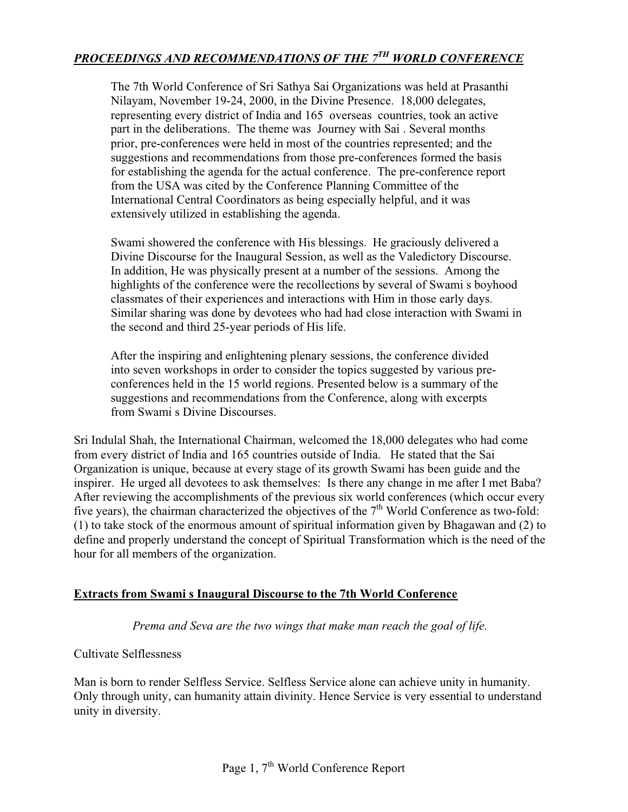# *PROCEEDINGS AND RECOMMENDATIONS OF THE 7TH WORLD CONFERENCE*

The 7th World Conference of Sri Sathya Sai Organizations was held at Prasanthi Nilayam, November 19-24, 2000, in the Divine Presence. 18,000 delegates, representing every district of India and 165 overseas countries, took an active part in the deliberations. The theme was Journey with Sai . Several months prior, pre-conferences were held in most of the countries represented; and the suggestions and recommendations from those pre-conferences formed the basis for establishing the agenda for the actual conference. The pre-conference report from the USA was cited by the Conference Planning Committee of the International Central Coordinators as being especially helpful, and it was extensively utilized in establishing the agenda.

Swami showered the conference with His blessings. He graciously delivered a Divine Discourse for the Inaugural Session, as well as the Valedictory Discourse. In addition, He was physically present at a number of the sessions. Among the highlights of the conference were the recollections by several of Swami s boyhood classmates of their experiences and interactions with Him in those early days. Similar sharing was done by devotees who had had close interaction with Swami in the second and third 25-year periods of His life.

After the inspiring and enlightening plenary sessions, the conference divided into seven workshops in order to consider the topics suggested by various preconferences held in the 15 world regions. Presented below is a summary of the suggestions and recommendations from the Conference, along with excerpts from Swami s Divine Discourses.

Sri Indulal Shah, the International Chairman, welcomed the 18,000 delegates who had come from every district of India and 165 countries outside of India. He stated that the Sai Organization is unique, because at every stage of its growth Swami has been guide and the inspirer. He urged all devotees to ask themselves: Is there any change in me after I met Baba? After reviewing the accomplishments of the previous six world conferences (which occur every five years), the chairman characterized the objectives of the  $7<sup>th</sup>$  World Conference as two-fold: (1) to take stock of the enormous amount of spiritual information given by Bhagawan and (2) to define and properly understand the concept of Spiritual Transformation which is the need of the hour for all members of the organization.

### **Extracts from Swami s Inaugural Discourse to the 7th World Conference**

*Prema and Seva are the two wings that make man reach the goal of life.*

### Cultivate Selflessness

Man is born to render Selfless Service. Selfless Service alone can achieve unity in humanity. Only through unity, can humanity attain divinity. Hence Service is very essential to understand unity in diversity.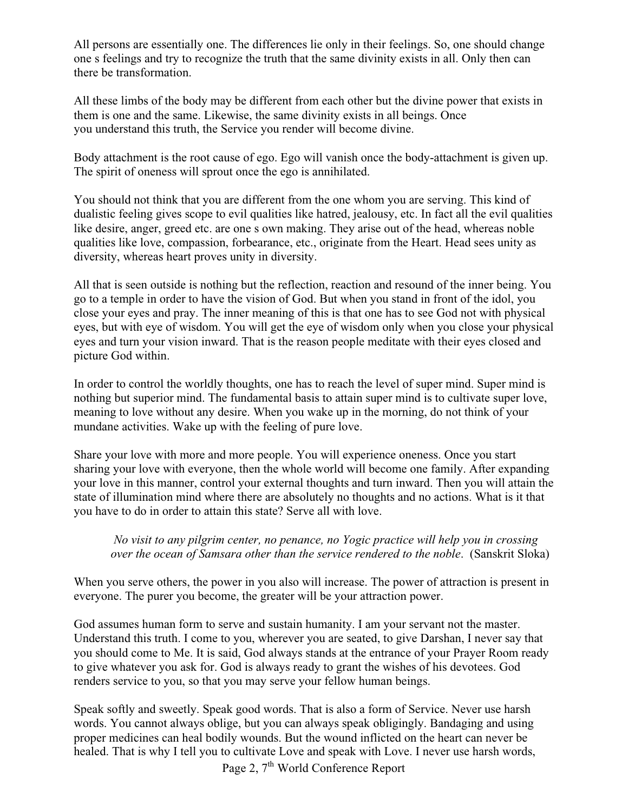All persons are essentially one. The differences lie only in their feelings. So, one should change one s feelings and try to recognize the truth that the same divinity exists in all. Only then can there be transformation.

All these limbs of the body may be different from each other but the divine power that exists in them is one and the same. Likewise, the same divinity exists in all beings. Once you understand this truth, the Service you render will become divine.

Body attachment is the root cause of ego. Ego will vanish once the body-attachment is given up. The spirit of oneness will sprout once the ego is annihilated.

You should not think that you are different from the one whom you are serving. This kind of dualistic feeling gives scope to evil qualities like hatred, jealousy, etc. In fact all the evil qualities like desire, anger, greed etc. are one s own making. They arise out of the head, whereas noble qualities like love, compassion, forbearance, etc., originate from the Heart. Head sees unity as diversity, whereas heart proves unity in diversity.

All that is seen outside is nothing but the reflection, reaction and resound of the inner being. You go to a temple in order to have the vision of God. But when you stand in front of the idol, you close your eyes and pray. The inner meaning of this is that one has to see God not with physical eyes, but with eye of wisdom. You will get the eye of wisdom only when you close your physical eyes and turn your vision inward. That is the reason people meditate with their eyes closed and picture God within.

In order to control the worldly thoughts, one has to reach the level of super mind. Super mind is nothing but superior mind. The fundamental basis to attain super mind is to cultivate super love, meaning to love without any desire. When you wake up in the morning, do not think of your mundane activities. Wake up with the feeling of pure love.

Share your love with more and more people. You will experience oneness. Once you start sharing your love with everyone, then the whole world will become one family. After expanding your love in this manner, control your external thoughts and turn inward. Then you will attain the state of illumination mind where there are absolutely no thoughts and no actions. What is it that you have to do in order to attain this state? Serve all with love.

*No visit to any pilgrim center, no penance, no Yogic practice will help you in crossing over the ocean of Samsara other than the service rendered to the noble*. (Sanskrit Sloka)

When you serve others, the power in you also will increase. The power of attraction is present in everyone. The purer you become, the greater will be your attraction power.

God assumes human form to serve and sustain humanity. I am your servant not the master. Understand this truth. I come to you, wherever you are seated, to give Darshan, I never say that you should come to Me. It is said, God always stands at the entrance of your Prayer Room ready to give whatever you ask for. God is always ready to grant the wishes of his devotees. God renders service to you, so that you may serve your fellow human beings.

Speak softly and sweetly. Speak good words. That is also a form of Service. Never use harsh words. You cannot always oblige, but you can always speak obligingly. Bandaging and using proper medicines can heal bodily wounds. But the wound inflicted on the heart can never be healed. That is why I tell you to cultivate Love and speak with Love. I never use harsh words,

Page 2, 7<sup>th</sup> World Conference Report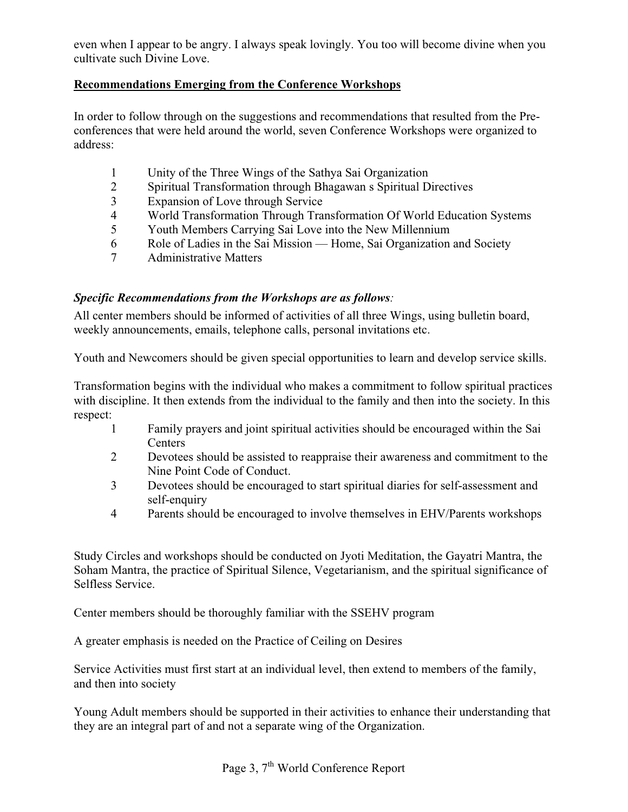even when I appear to be angry. I always speak lovingly. You too will become divine when you cultivate such Divine Love.

## **Recommendations Emerging from the Conference Workshops**

In order to follow through on the suggestions and recommendations that resulted from the Preconferences that were held around the world, seven Conference Workshops were organized to address:

- 1 Unity of the Three Wings of the Sathya Sai Organization
- 2 Spiritual Transformation through Bhagawan s Spiritual Directives
- 3 Expansion of Love through Service
- 4 World Transformation Through Transformation Of World Education Systems
- 5 Youth Members Carrying Sai Love into the New Millennium
- 6 Role of Ladies in the Sai Mission Home, Sai Organization and Society
- 7 Administrative Matters

### *Specific Recommendations from the Workshops are as follows:*

All center members should be informed of activities of all three Wings, using bulletin board, weekly announcements, emails, telephone calls, personal invitations etc.

Youth and Newcomers should be given special opportunities to learn and develop service skills.

Transformation begins with the individual who makes a commitment to follow spiritual practices with discipline. It then extends from the individual to the family and then into the society. In this respect:

- 1 Family prayers and joint spiritual activities should be encouraged within the Sai **Centers**
- 2 Devotees should be assisted to reappraise their awareness and commitment to the Nine Point Code of Conduct.
- 3 Devotees should be encouraged to start spiritual diaries for self-assessment and self-enquiry
- 4 Parents should be encouraged to involve themselves in EHV/Parents workshops

Study Circles and workshops should be conducted on Jyoti Meditation, the Gayatri Mantra, the Soham Mantra, the practice of Spiritual Silence, Vegetarianism, and the spiritual significance of Selfless Service.

Center members should be thoroughly familiar with the SSEHV program

A greater emphasis is needed on the Practice of Ceiling on Desires

Service Activities must first start at an individual level, then extend to members of the family, and then into society

Young Adult members should be supported in their activities to enhance their understanding that they are an integral part of and not a separate wing of the Organization.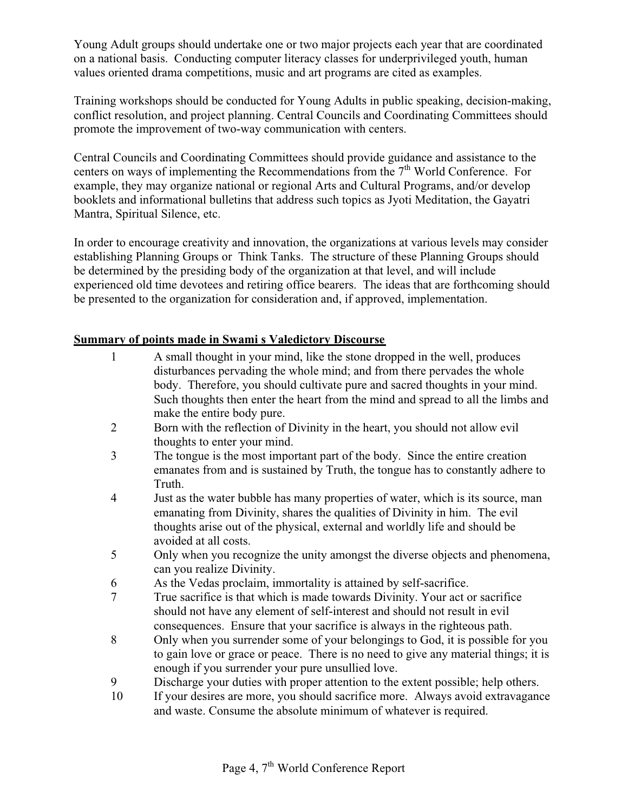Young Adult groups should undertake one or two major projects each year that are coordinated on a national basis. Conducting computer literacy classes for underprivileged youth, human values oriented drama competitions, music and art programs are cited as examples.

Training workshops should be conducted for Young Adults in public speaking, decision-making, conflict resolution, and project planning. Central Councils and Coordinating Committees should promote the improvement of two-way communication with centers.

Central Councils and Coordinating Committees should provide guidance and assistance to the centers on ways of implementing the Recommendations from the  $7<sup>th</sup>$  World Conference. For example, they may organize national or regional Arts and Cultural Programs, and/or develop booklets and informational bulletins that address such topics as Jyoti Meditation, the Gayatri Mantra, Spiritual Silence, etc.

In order to encourage creativity and innovation, the organizations at various levels may consider establishing Planning Groups or Think Tanks. The structure of these Planning Groups should be determined by the presiding body of the organization at that level, and will include experienced old time devotees and retiring office bearers. The ideas that are forthcoming should be presented to the organization for consideration and, if approved, implementation.

## **Summary of points made in Swami s Valedictory Discourse**

- 1 A small thought in your mind, like the stone dropped in the well, produces disturbances pervading the whole mind; and from there pervades the whole body. Therefore, you should cultivate pure and sacred thoughts in your mind. Such thoughts then enter the heart from the mind and spread to all the limbs and make the entire body pure.
- 2 Born with the reflection of Divinity in the heart, you should not allow evil thoughts to enter your mind.
- 3 The tongue is the most important part of the body. Since the entire creation emanates from and is sustained by Truth, the tongue has to constantly adhere to Truth.
- 4 Just as the water bubble has many properties of water, which is its source, man emanating from Divinity, shares the qualities of Divinity in him. The evil thoughts arise out of the physical, external and worldly life and should be avoided at all costs.
- 5 Only when you recognize the unity amongst the diverse objects and phenomena, can you realize Divinity.
- 6 As the Vedas proclaim, immortality is attained by self-sacrifice.
- 7 True sacrifice is that which is made towards Divinity. Your act or sacrifice should not have any element of self-interest and should not result in evil consequences. Ensure that your sacrifice is always in the righteous path.
- 8 Only when you surrender some of your belongings to God, it is possible for you to gain love or grace or peace. There is no need to give any material things; it is enough if you surrender your pure unsullied love.
- 9 Discharge your duties with proper attention to the extent possible; help others.
- 10 If your desires are more, you should sacrifice more. Always avoid extravagance and waste. Consume the absolute minimum of whatever is required.